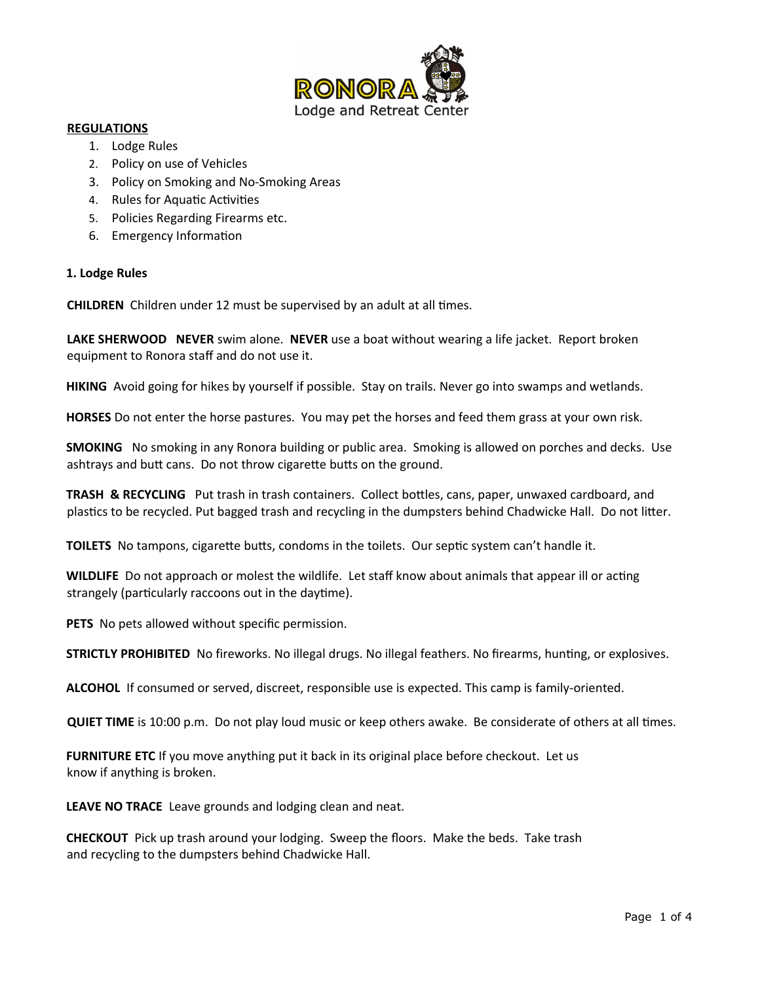

#### **REGULATIONS**

- 1. Lodge Rules
- 2. Policy on use of Vehicles
- 3. Policy on Smoking and No-Smoking Areas
- 4. Rules for Aquatic Activities
- 5. Policies Regarding Firearms etc.
- 6. Emergency Information

### **1. Lodge Rules**

**CHILDREN** Children under 12 must be supervised by an adult at all times.

**LAKE SHERWOOD NEVER** swim alone. **NEVER** use a boat without wearing a life jacket. Report broken equipment to Ronora staff and do not use it.

**HIKING** Avoid going for hikes by yourself if possible. Stay on trails. Never go into swamps and wetlands.

**HORSES** Do not enter the horse pastures. You may pet the horses and feed them grass at your own risk.

**SMOKING** No smoking in any Ronora building or public area. Smoking is allowed on porches and decks. Use ashtrays and butt cans. Do not throw cigarette butts on the ground.

**TRASH & RECYCLING** Put trash in trash containers. Collect bottles, cans, paper, unwaxed cardboard, and plastics to be recycled. Put bagged trash and recycling in the dumpsters behind Chadwicke Hall. Do not litter.

**TOILETS** No tampons, cigarette butts, condoms in the toilets. Our septic system can't handle it.

**WILDLIFE** Do not approach or molest the wildlife. Let staff know about animals that appear ill or acting strangely (particularly raccoons out in the daytime).

**PETS** No pets allowed without specific permission.

**STRICTLY PROHIBITED** No fireworks. No illegal drugs. No illegal feathers. No firearms, hunting, or explosives.

**ALCOHOL** If consumed or served, discreet, responsible use is expected. This camp is family-oriented.

**QUIET TIME** is 10:00 p.m. Do not play loud music or keep others awake. Be considerate of others at all times.

**FURNITURE ETC** If you move anything put it back in its original place before checkout. Let us know if anything is broken.

**LEAVE NO TRACE** Leave grounds and lodging clean and neat.

**CHECKOUT** Pick up trash around your lodging. Sweep the floors. Make the beds. Take trash and recycling to the dumpsters behind Chadwicke Hall.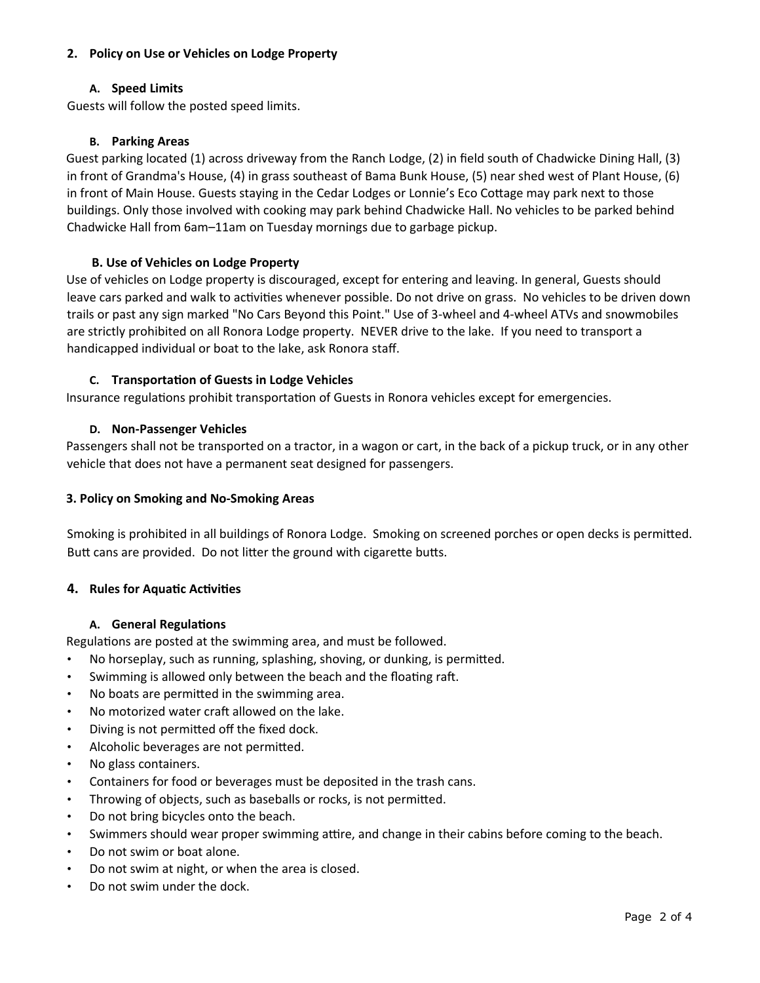# **2. Policy on Use or Vehicles on Lodge Property**

# **A. Speed Limits**

Guests will follow the posted speed limits.

# **B. Parking Areas**

Guest parking located (1) across driveway from the Ranch Lodge, (2) in field south of Chadwicke Dining Hall, (3) in front of Grandma's House, (4) in grass southeast of Bama Bunk House, (5) near shed west of Plant House, (6) in front of Main House. Guests staying in the Cedar Lodges or Lonnie's Eco Cottage may park next to those buildings. Only those involved with cooking may park behind Chadwicke Hall. No vehicles to be parked behind Chadwicke Hall from 6am–11am on Tuesday mornings due to garbage pickup.

# **B. Use of Vehicles on Lodge Property**

Use of vehicles on Lodge property is discouraged, except for entering and leaving. In general, Guests should leave cars parked and walk to activities whenever possible. Do not drive on grass. No vehicles to be driven down trails or past any sign marked "No Cars Beyond this Point." Use of 3-wheel and 4-wheel ATVs and snowmobiles are strictly prohibited on all Ronora Lodge property. NEVER drive to the lake. If you need to transport a handicapped individual or boat to the lake, ask Ronora staff.

# **C. Transportation of Guests in Lodge Vehicles**

Insurance regulations prohibit transportation of Guests in Ronora vehicles except for emergencies.

# **D. Non-Passenger Vehicles**

Passengers shall not be transported on a tractor, in a wagon or cart, in the back of a pickup truck, or in any other vehicle that does not have a permanent seat designed for passengers.

# **3. Policy on Smoking and No-Smoking Areas**

Smoking is prohibited in all buildings of Ronora Lodge. Smoking on screened porches or open decks is permitted. Butt cans are provided. Do not litter the ground with cigarette butts.

# **4. Rules for Aquatic Activities**

# **A. General Regulations**

Regulations are posted at the swimming area, and must be followed.

- No horseplay, such as running, splashing, shoving, or dunking, is permitted.
- Swimming is allowed only between the beach and the floating raft.
- No boats are permitted in the swimming area.
- No motorized water craft allowed on the lake.
- Diving is not permitted off the fixed dock.
- Alcoholic beverages are not permitted.
- No glass containers.
- Containers for food or beverages must be deposited in the trash cans.
- Throwing of objects, such as baseballs or rocks, is not permitted.
- Do not bring bicycles onto the beach.
- Swimmers should wear proper swimming attire, and change in their cabins before coming to the beach.
- Do not swim or boat alone.
- Do not swim at night, or when the area is closed.
- Do not swim under the dock.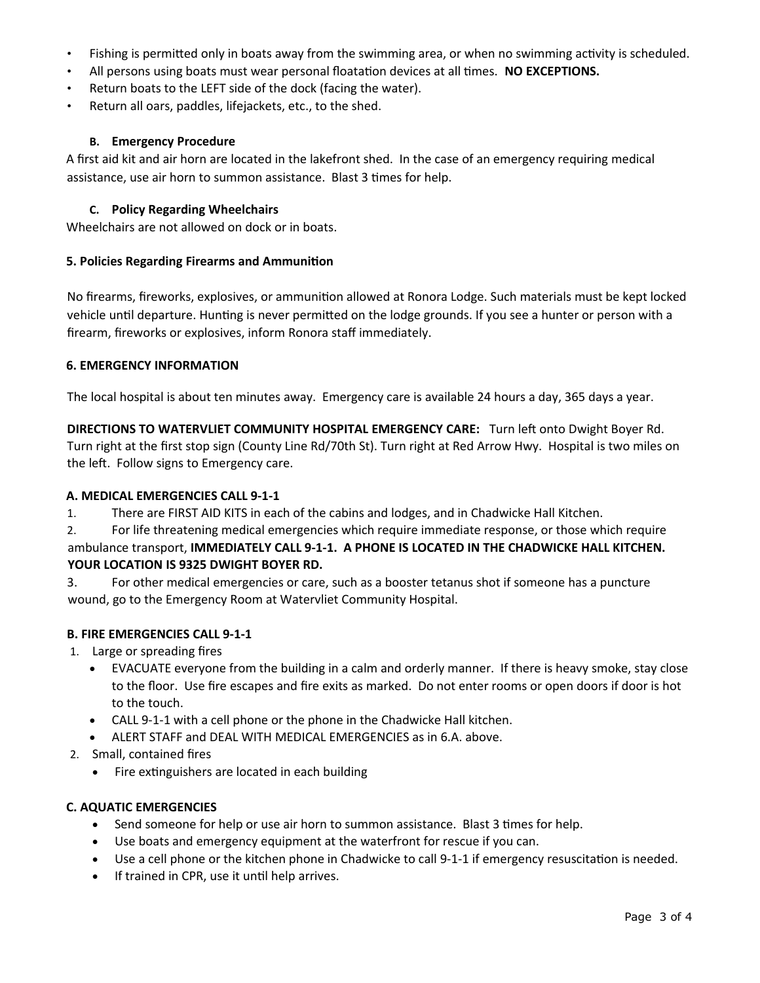- Fishing is permitted only in boats away from the swimming area, or when no swimming activity is scheduled.
- All persons using boats must wear personal floatation devices at all times. **NO EXCEPTIONS.**
- Return boats to the LEFT side of the dock (facing the water).
- Return all oars, paddles, lifejackets, etc., to the shed.

# **B. Emergency Procedure**

A first aid kit and air horn are located in the lakefront shed. In the case of an emergency requiring medical assistance, use air horn to summon assistance. Blast 3 times for help.

## **C. Policy Regarding Wheelchairs**

Wheelchairs are not allowed on dock or in boats.

### **5. Policies Regarding Firearms and Ammunition**

No firearms, fireworks, explosives, or ammunition allowed at Ronora Lodge. Such materials must be kept locked vehicle until departure. Hunting is never permitted on the lodge grounds. If you see a hunter or person with a firearm, fireworks or explosives, inform Ronora staff immediately.

### **6. EMERGENCY INFORMATION**

The local hospital is about ten minutes away. Emergency care is available 24 hours a day, 365 days a year.

**DIRECTIONS TO WATERVLIET COMMUNITY HOSPITAL EMERGENCY CARE:** Turn left onto Dwight Boyer Rd. Turn right at the first stop sign (County Line Rd/70th St). Turn right at Red Arrow Hwy. Hospital is two miles on the left. Follow signs to Emergency care.

#### **A. MEDICAL EMERGENCIES CALL 9-1-1**

1. There are FIRST AID KITS in each of the cabins and lodges, and in Chadwicke Hall Kitchen.

2. For life threatening medical emergencies which require immediate response, or those which require ambulance transport, **IMMEDIATELY CALL 9-1-1. A PHONE IS LOCATED IN THE CHADWICKE HALL KITCHEN. YOUR LOCATION IS 9325 DWIGHT BOYER RD.**

3. For other medical emergencies or care, such as a booster tetanus shot if someone has a puncture wound, go to the Emergency Room at Watervliet Community Hospital.

# **B. FIRE EMERGENCIES CALL 9-1-1**

- 1. Large or spreading fires
	- EVACUATE everyone from the building in a calm and orderly manner. If there is heavy smoke, stay close to the floor. Use fire escapes and fire exits as marked. Do not enter rooms or open doors if door is hot to the touch.
	- CALL 9-1-1 with a cell phone or the phone in the Chadwicke Hall kitchen.
	- ALERT STAFF and DEAL WITH MEDICAL EMERGENCIES as in 6.A. above.
- 2. Small, contained fires
	- Fire extinguishers are located in each building

# **C. AQUATIC EMERGENCIES**

- Send someone for help or use air horn to summon assistance. Blast 3 times for help.
- Use boats and emergency equipment at the waterfront for rescue if you can.
- Use a cell phone or the kitchen phone in Chadwicke to call 9-1-1 if emergency resuscitation is needed.
- If trained in CPR, use it until help arrives.